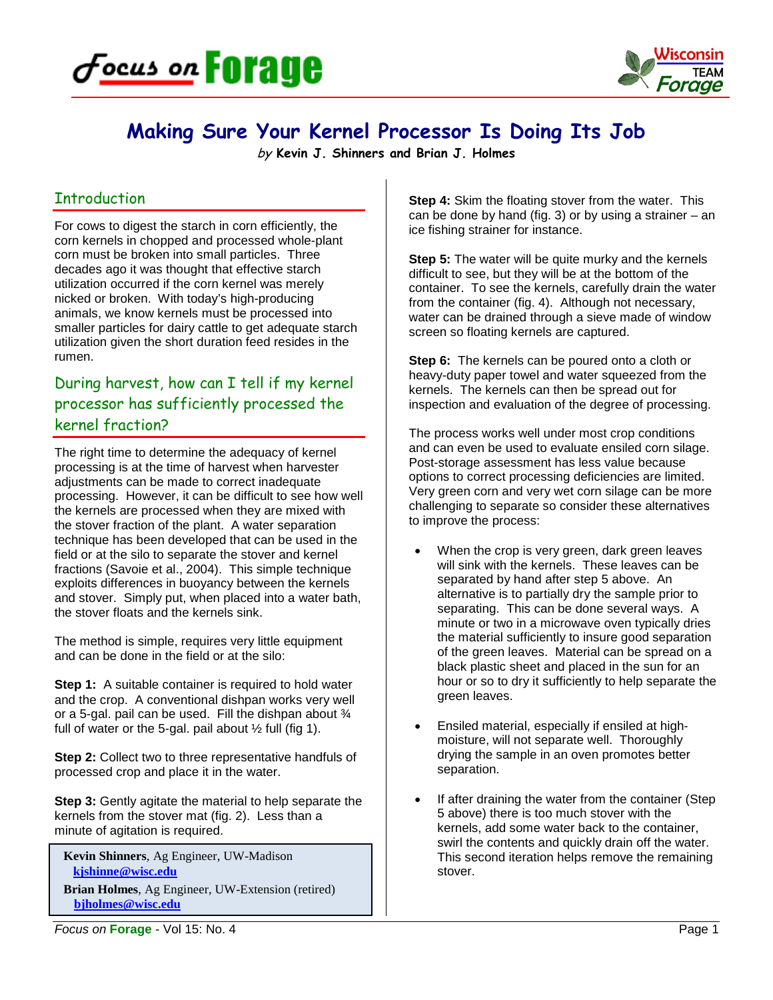



# **Making Sure Your Kernel Processor Is Doing Its Job**

by **Kevin J. Shinners and Brian J. Holmes**

#### **Introduction**

For cows to digest the starch in corn efficiently, the corn kernels in chopped and processed whole-plant corn must be broken into small particles. Three decades ago it was thought that effective starch utilization occurred if the corn kernel was merely nicked or broken. With today's high-producing animals, we know kernels must be processed into smaller particles for dairy cattle to get adequate starch utilization given the short duration feed resides in the rumen.

## During harvest, how can I tell if my kernel processor has sufficiently processed the kernel fraction?

The right time to determine the adequacy of kernel processing is at the time of harvest when harvester adjustments can be made to correct inadequate processing. However, it can be difficult to see how well the kernels are processed when they are mixed with the stover fraction of the plant. A water separation technique has been developed that can be used in the field or at the silo to separate the stover and kernel fractions (Savoie et al., 2004). This simple technique exploits differences in buoyancy between the kernels and stover. Simply put, when placed into a water bath, the stover floats and the kernels sink.

The method is simple, requires very little equipment and can be done in the field or at the silo:

**Step 1:** A suitable container is required to hold water and the crop. A conventional dishpan works very well or a 5-gal. pail can be used. Fill the dishpan about  $\frac{3}{4}$ full of water or the 5-gal. pail about  $\frac{1}{2}$  full (fig 1).

**Step 2:** Collect two to three representative handfuls of processed crop and place it in the water.

**Step 3:** Gently agitate the material to help separate the kernels from the stover mat (fig. 2). Less than a minute of agitation is required.

**Kevin Shinners**, Ag Engineer, UW-Madison  **[kjshinne@wisc.edu](mailto:kjshinne@wisc.edu)**

**Brian Holmes**, Ag Engineer, UW-Extension (retired) **[bjholmes@wisc.edu](mailto:bjholmes@wisc.edu)**

**Step 4:** Skim the floating stover from the water. This can be done by hand (fig. 3) or by using a strainer  $-$  an ice fishing strainer for instance.

**Step 5:** The water will be quite murky and the kernels difficult to see, but they will be at the bottom of the container. To see the kernels, carefully drain the water from the container (fig. 4). Although not necessary, water can be drained through a sieve made of window screen so floating kernels are captured.

**Step 6:** The kernels can be poured onto a cloth or heavy-duty paper towel and water squeezed from the kernels. The kernels can then be spread out for inspection and evaluation of the degree of processing.

The process works well under most crop conditions and can even be used to evaluate ensiled corn silage. Post-storage assessment has less value because options to correct processing deficiencies are limited. Very green corn and very wet corn silage can be more challenging to separate so consider these alternatives to improve the process:

- When the crop is very green, dark green leaves will sink with the kernels. These leaves can be separated by hand after step 5 above. An alternative is to partially dry the sample prior to separating. This can be done several ways. A minute or two in a microwave oven typically dries the material sufficiently to insure good separation of the green leaves. Material can be spread on a black plastic sheet and placed in the sun for an hour or so to dry it sufficiently to help separate the green leaves.
- Ensiled material, especially if ensiled at highmoisture, will not separate well. Thoroughly drying the sample in an oven promotes better separation.
- If after draining the water from the container (Step 5 above) there is too much stover with the kernels, add some water back to the container, swirl the contents and quickly drain off the water. This second iteration helps remove the remaining stover.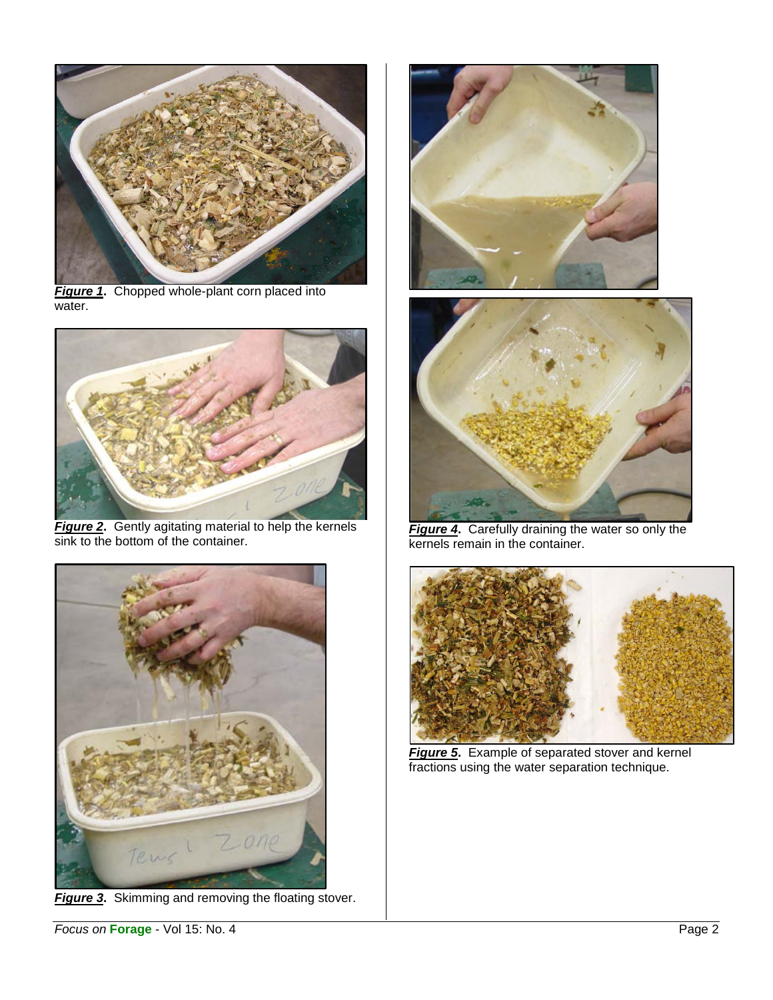

**Figure 1.** Chopped whole-plant corn placed into water.



*Figure 2***.** Gently agitating material to help the kernels sink to the bottom of the container.



*Figure 3***.** Skimming and removing the floating stover.





*Figure 4***.** Carefully draining the water so only the kernels remain in the container.



*Figure 5***.** Example of separated stover and kernel fractions using the water separation technique.